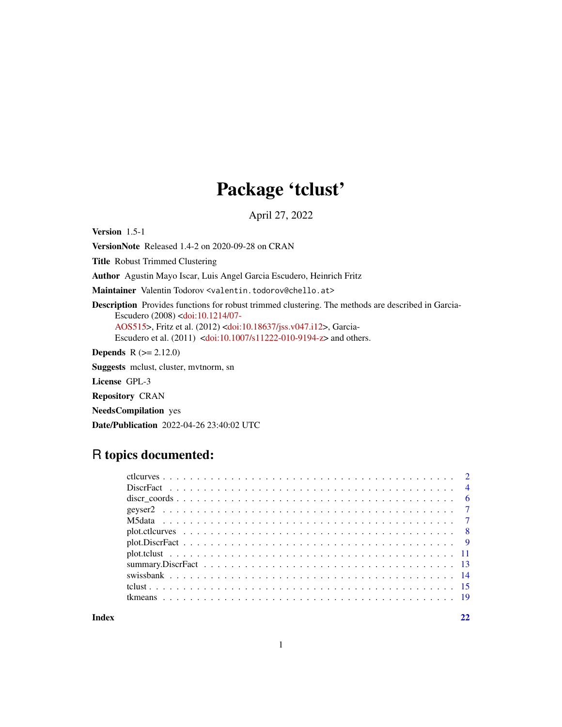## Package 'tclust'

April 27, 2022

<span id="page-0-0"></span>Version 1.5-1

VersionNote Released 1.4-2 on 2020-09-28 on CRAN

Title Robust Trimmed Clustering

Author Agustin Mayo Iscar, Luis Angel Garcia Escudero, Heinrich Fritz

Maintainer Valentin Todorov <valentin.todorov@chello.at>

Description Provides functions for robust trimmed clustering. The methods are described in Garcia-Escudero (2008) [<doi:10.1214/07-](https://doi.org/10.1214/07-AOS515)

[AOS515>](https://doi.org/10.1214/07-AOS515), Fritz et al. (2012) [<doi:10.18637/jss.v047.i12>](https://doi.org/10.18637/jss.v047.i12), Garcia-Escudero et al. (2011) [<doi:10.1007/s11222-010-9194-z>](https://doi.org/10.1007/s11222-010-9194-z) and others.

**Depends** R  $(>= 2.12.0)$ 

Suggests mclust, cluster, mvtnorm, sn

License GPL-3

Repository CRAN

NeedsCompilation yes

Date/Publication 2022-04-26 23:40:02 UTC

## R topics documented:

| discretion discrete set of $\sim$ 6 |  |
|-------------------------------------|--|
|                                     |  |
|                                     |  |
|                                     |  |
|                                     |  |
|                                     |  |
|                                     |  |
|                                     |  |
|                                     |  |
|                                     |  |
|                                     |  |

**Index** [22](#page-21-0)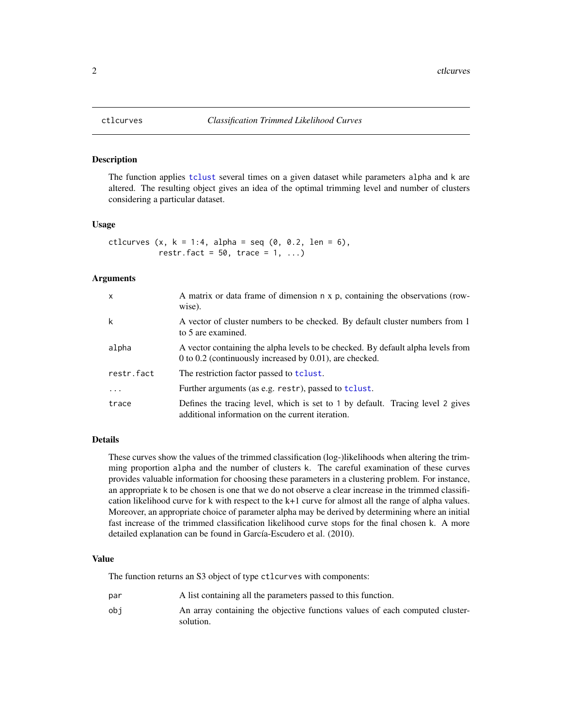<span id="page-1-0"></span>

#### Description

The function applies [tclust](#page-14-1) several times on a given dataset while parameters alpha and k are altered. The resulting object gives an idea of the optimal trimming level and number of clusters considering a particular dataset.

#### Usage

ctlcurves  $(x, k = 1:4, alpha = seq (0, 0.2, len = 6),$ restr.fact =  $50$ , trace =  $1, ...$ )

### Arguments

| $\times$   | A matrix or data frame of dimension n x p, containing the observations (row-<br>wise).                                                         |
|------------|------------------------------------------------------------------------------------------------------------------------------------------------|
| k          | A vector of cluster numbers to be checked. By default cluster numbers from 1<br>to 5 are examined.                                             |
| alpha      | A vector containing the alpha levels to be checked. By default alpha levels from<br>0 to 0.2 (continuously increased by $0.01$ ), are checked. |
| restr.fact | The restriction factor passed to <b>tclust</b> .                                                                                               |
|            | Further arguments (as e.g. restr), passed to tclust.                                                                                           |
| trace      | Defines the tracing level, which is set to 1 by default. Tracing level 2 gives<br>additional information on the current iteration.             |

#### Details

These curves show the values of the trimmed classification (log-)likelihoods when altering the trimming proportion alpha and the number of clusters k. The careful examination of these curves provides valuable information for choosing these parameters in a clustering problem. For instance, an appropriate k to be chosen is one that we do not observe a clear increase in the trimmed classification likelihood curve for k with respect to the k+1 curve for almost all the range of alpha values. Moreover, an appropriate choice of parameter alpha may be derived by determining where an initial fast increase of the trimmed classification likelihood curve stops for the final chosen k. A more detailed explanation can be found in García-Escudero et al. (2010).

#### Value

The function returns an S3 object of type ctlcurves with components:

par A list containing all the parameters passed to this function. obj An array containing the objective functions values of each computed clustersolution.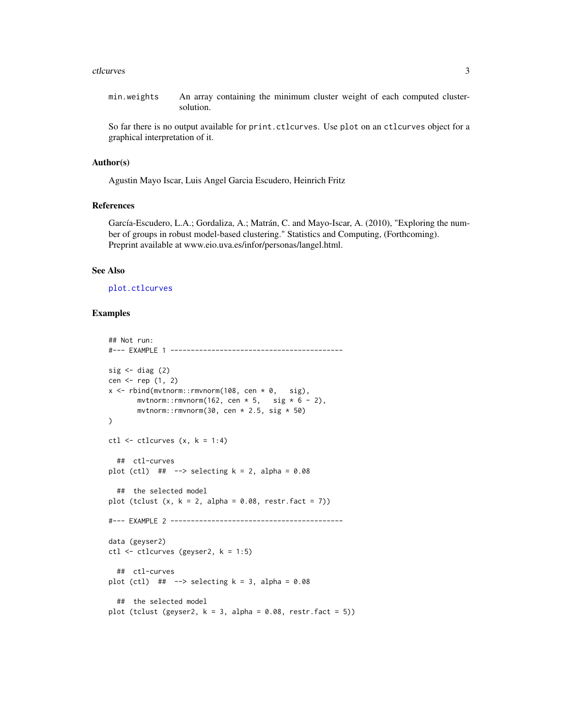#### <span id="page-2-0"></span>ctlcurves 3

min.weights An array containing the minimum cluster weight of each computed clustersolution.

So far there is no output available for print.ctlcurves. Use plot on an ctlcurves object for a graphical interpretation of it.

## Author(s)

Agustin Mayo Iscar, Luis Angel Garcia Escudero, Heinrich Fritz

#### References

García-Escudero, L.A.; Gordaliza, A.; Matrán, C. and Mayo-Iscar, A. (2010), "Exploring the number of groups in robust model-based clustering." Statistics and Computing, (Forthcoming). Preprint available at www.eio.uva.es/infor/personas/langel.html.

#### See Also

[plot.ctlcurves](#page-7-1)

```
## Not run:
#--- EXAMPLE 1 ------------------------------------------
sig \leftarrow diag(2)cen <- rep (1, 2)x \le rbind(mvtnorm:: rmvnorm(108, cen * 0, sig),
       mvtnorm::rmvnorm(162, cen * 5, sig * 6 - 2),
       mvtnorm::rmvnorm(30, cen * 2.5, sig * 50)
)
ctl \le ctlcurves (x, k = 1:4)## ctl-curves
plot (ctl) #  \leftarrow > selecting k = 2, alpha = 0.08
  ## the selected model
plot (tclust (x, k = 2, alpha = 0.08, restr.fact = 7))#--- EXAMPLE 2 ------------------------------------------
data (geyser2)
ctl <- ctlcurves (geyser2, k = 1:5)
  ## ctl-curves
plot (ctl) #+ --> selecting k = 3, alpha = 0.08
  ## the selected model
plot (tclust (geyser2, k = 3, alpha = 0.08, restr.fact = 5))
```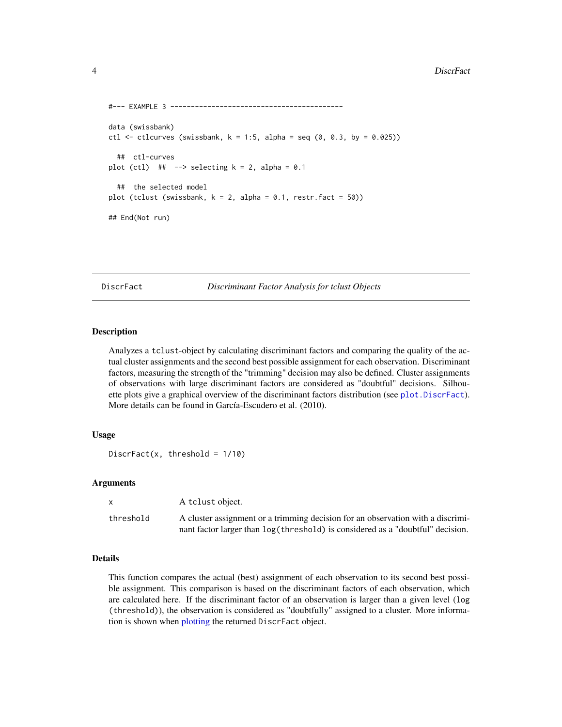```
#--- EXAMPLE 3 ------------------------------------------
data (swissbank)
ctl \le ctlcurves (swissbank, k = 1:5, alpha = seq (0, 0.3, by = 0.025))
 ## ctl-curves
plot (ctl) #+ --> selecting k = 2, alpha = 0.1
 ## the selected model
plot (tclust (swissbank, k = 2, alpha = 0.1, restr.fact = 50))
## End(Not run)
```
<span id="page-3-1"></span>DiscrFact *Discriminant Factor Analysis for tclust Objects*

#### Description

Analyzes a tclust-object by calculating discriminant factors and comparing the quality of the actual cluster assignments and the second best possible assignment for each observation. Discriminant factors, measuring the strength of the "trimming" decision may also be defined. Cluster assignments of observations with large discriminant factors are considered as "doubtful" decisions. Silhouette plots give a graphical overview of the discriminant factors distribution (see [plot.DiscrFact](#page-8-1)). More details can be found in García-Escudero et al. (2010).

#### Usage

```
DiscrFact(x, threshold = 1/10)
```
#### Arguments

| $\mathsf{x}$ | A tclust object.                                                                 |
|--------------|----------------------------------------------------------------------------------|
| threshold    | A cluster assignment or a trimming decision for an observation with a discrimi-  |
|              | nant factor larger than $log(threshold)$ is considered as a "doubtful" decision. |

#### Details

This function compares the actual (best) assignment of each observation to its second best possible assignment. This comparison is based on the discriminant factors of each observation, which are calculated here. If the discriminant factor of an observation is larger than a given level (log (threshold)), the observation is considered as "doubtfully" assigned to a cluster. More information is shown when [plotting](#page-8-1) the returned DiscrFact object.

<span id="page-3-0"></span>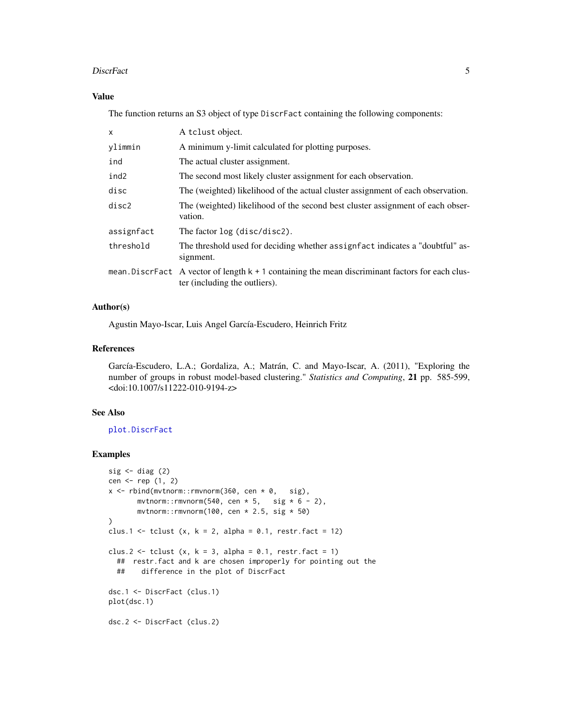#### <span id="page-4-0"></span>DiscrFact 5

## Value

The function returns an S3 object of type DiscrFact containing the following components:

| X          | A tclust object.                                                                                                                      |
|------------|---------------------------------------------------------------------------------------------------------------------------------------|
| ylimmin    | A minimum y-limit calculated for plotting purposes.                                                                                   |
| ind        | The actual cluster assignment.                                                                                                        |
| ind2       | The second most likely cluster assignment for each observation.                                                                       |
| disc       | The (weighted) likelihood of the actual cluster assignment of each observation.                                                       |
| disc2      | The (weighted) likelihood of the second best cluster assignment of each obser-<br>vation.                                             |
| assignfact | The factor log (disc/disc2).                                                                                                          |
| threshold  | The threshold used for deciding whether assignfact indicates a "doubtful" as-<br>signment.                                            |
|            | mean. Discreasing A vector of length $k + 1$ containing the mean discriminant factors for each clus-<br>ter (including the outliers). |

## Author(s)

Agustin Mayo-Iscar, Luis Angel García-Escudero, Heinrich Fritz

#### References

García-Escudero, L.A.; Gordaliza, A.; Matrán, C. and Mayo-Iscar, A. (2011), "Exploring the number of groups in robust model-based clustering." *Statistics and Computing*, 21 pp. 585-599, <doi:10.1007/s11222-010-9194-z>

## See Also

[plot.DiscrFact](#page-8-1)

```
sig \leftarrow diag(2)cen <- rep (1, 2)
x \le rbind(mvtnorm::rmvnorm(360, cen * 0, sig),
       mvtnorm::rmvnorm(540, cen * 5, sig * 6 - 2),
       mvtnorm::rmvnorm(100, cen * 2.5, sig * 50)
\mathcal{L}clus.1 <- tclust (x, k = 2, alpha = 0.1, restr.fact = 12)clus.2 \leftarrow tclust (x, k = 3, alpha = 0.1, restr.fact = 1)
  ## restr.fact and k are chosen improperly for pointing out the
  ## difference in the plot of DiscrFact
dsc.1 <- DiscrFact (clus.1)
plot(dsc.1)
dsc.2 <- DiscrFact (clus.2)
```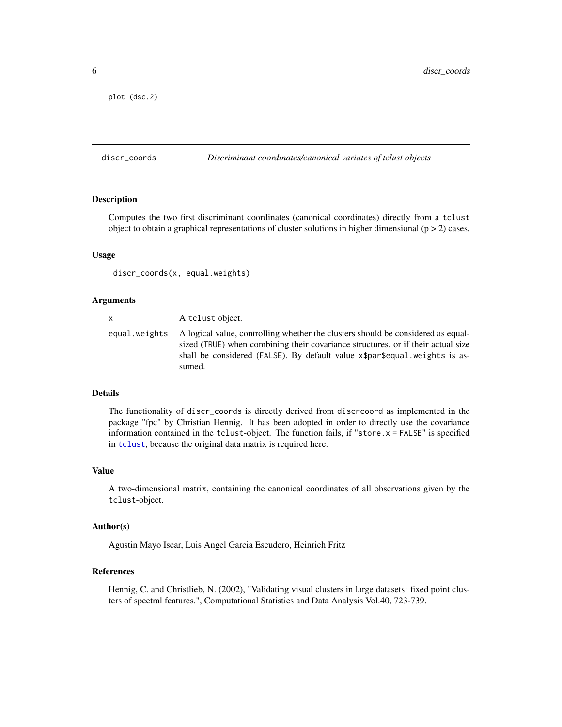```
plot (dsc.2)
```
<span id="page-5-1"></span>

#### discr\_coords *Discriminant coordinates/canonical variates of tclust objects*

#### Description

Computes the two first discriminant coordinates (canonical coordinates) directly from a tclust object to obtain a graphical representations of cluster solutions in higher dimensional  $(p > 2)$  cases.

#### Usage

```
discr_coords(x, equal.weights)
```
#### Arguments

## x A tclust object. equal.weights A logical value, controlling whether the clusters should be considered as equalsized (TRUE) when combining their covariance structures, or if their actual size shall be considered (FALSE). By default value x\$par\$equal.weights is assumed.

#### Details

The functionality of discr\_coords is directly derived from discrcoord as implemented in the package "fpc" by Christian Hennig. It has been adopted in order to directly use the covariance information contained in the tclust-object. The function fails, if "store.x = FALSE" is specified in [tclust](#page-14-1), because the original data matrix is required here.

#### Value

A two-dimensional matrix, containing the canonical coordinates of all observations given by the tclust-object.

#### Author(s)

Agustin Mayo Iscar, Luis Angel Garcia Escudero, Heinrich Fritz

#### References

Hennig, C. and Christlieb, N. (2002), "Validating visual clusters in large datasets: fixed point clusters of spectral features.", Computational Statistics and Data Analysis Vol.40, 723-739.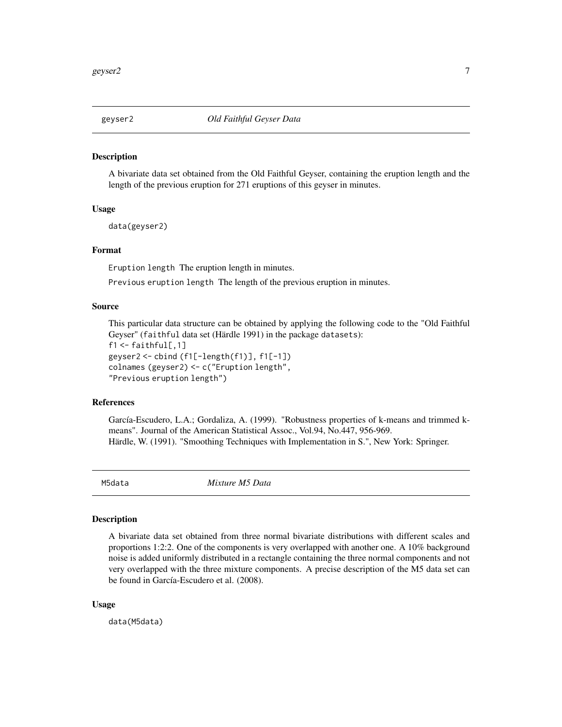<span id="page-6-0"></span>

#### Description

A bivariate data set obtained from the Old Faithful Geyser, containing the eruption length and the length of the previous eruption for 271 eruptions of this geyser in minutes.

#### Usage

data(geyser2)

#### Format

Eruption length The eruption length in minutes.

Previous eruption length The length of the previous eruption in minutes.

## Source

This particular data structure can be obtained by applying the following code to the "Old Faithful Geyser" (faithful data set (Härdle 1991) in the package datasets):  $f1 < -$  faithful[,1] geyser2 <- cbind (f1[-length(f1)], f1[-1])

colnames (geyser2) <- c("Eruption length", "Previous eruption length")

#### References

García-Escudero, L.A.; Gordaliza, A. (1999). "Robustness properties of k-means and trimmed kmeans". Journal of the American Statistical Assoc., Vol.94, No.447, 956-969. Härdle, W. (1991). "Smoothing Techniques with Implementation in S.", New York: Springer.

M5data *Mixture M5 Data*

#### Description

A bivariate data set obtained from three normal bivariate distributions with different scales and proportions 1:2:2. One of the components is very overlapped with another one. A 10% background noise is added uniformly distributed in a rectangle containing the three normal components and not very overlapped with the three mixture components. A precise description of the M5 data set can be found in García-Escudero et al. (2008).

#### Usage

data(M5data)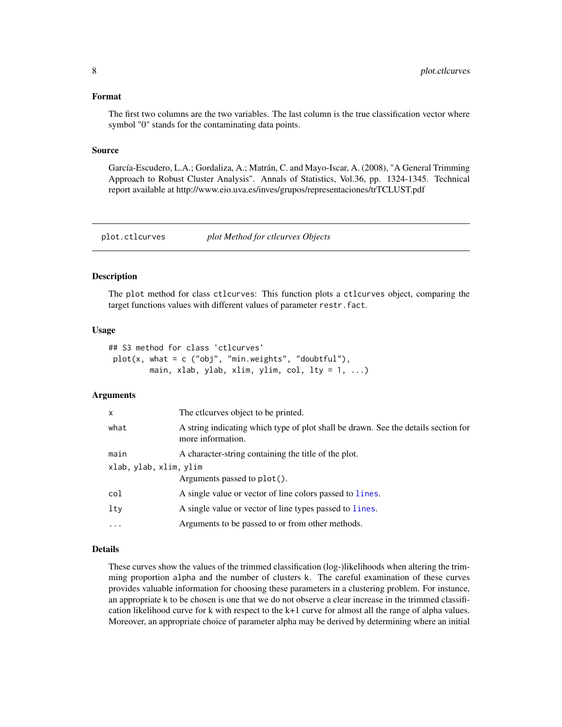#### <span id="page-7-0"></span>Format

The first two columns are the two variables. The last column is the true classification vector where symbol "0" stands for the contaminating data points.

## Source

García-Escudero, L.A.; Gordaliza, A.; Matrán, C. and Mayo-Iscar, A. (2008), "A General Trimming Approach to Robust Cluster Analysis". Annals of Statistics, Vol.36, pp. 1324-1345. Technical report available at http://www.eio.uva.es/inves/grupos/representaciones/trTCLUST.pdf

<span id="page-7-1"></span>plot.ctlcurves *plot Method for ctlcurves Objects*

#### Description

The plot method for class ctlcurves: This function plots a ctlcurves object, comparing the target functions values with different values of parameter restr.fact.

#### Usage

|  |  |  | ## S3 method for class 'ctlcurves'                      |  |  |  |
|--|--|--|---------------------------------------------------------|--|--|--|
|  |  |  | $plot(x, what = c ("obj", "min.weights", "doubleful").$ |  |  |  |
|  |  |  | main, xlab, ylab, xlim, ylim, col, lty = $1, $ )        |  |  |  |

#### Arguments

| The ctlcurves object to be printed.                                                                     |
|---------------------------------------------------------------------------------------------------------|
| A string indicating which type of plot shall be drawn. See the details section for<br>more information. |
| A character-string containing the title of the plot.                                                    |
| xlab, ylab, xlim, ylim                                                                                  |
| Arguments passed to plot().                                                                             |
| A single value or vector of line colors passed to lines.                                                |
| A single value or vector of line types passed to lines.                                                 |
| Arguments to be passed to or from other methods.                                                        |
|                                                                                                         |

#### Details

These curves show the values of the trimmed classification (log-)likelihoods when altering the trimming proportion alpha and the number of clusters k. The careful examination of these curves provides valuable information for choosing these parameters in a clustering problem. For instance, an appropriate k to be chosen is one that we do not observe a clear increase in the trimmed classification likelihood curve for k with respect to the k+1 curve for almost all the range of alpha values. Moreover, an appropriate choice of parameter alpha may be derived by determining where an initial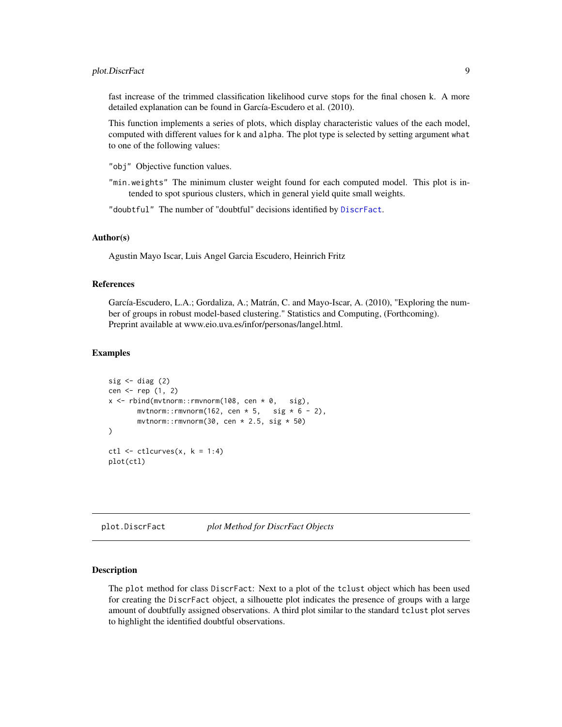## <span id="page-8-0"></span>plot.DiscrFact 9

fast increase of the trimmed classification likelihood curve stops for the final chosen k. A more detailed explanation can be found in García-Escudero et al. (2010).

This function implements a series of plots, which display characteristic values of the each model, computed with different values for k and alpha. The plot type is selected by setting argument what to one of the following values:

"obj" Objective function values.

"min.weights" The minimum cluster weight found for each computed model. This plot is intended to spot spurious clusters, which in general yield quite small weights.

"doubtful" The number of "doubtful" decisions identified by [DiscrFact](#page-3-1).

#### Author(s)

Agustin Mayo Iscar, Luis Angel Garcia Escudero, Heinrich Fritz

#### References

García-Escudero, L.A.; Gordaliza, A.; Matrán, C. and Mayo-Iscar, A. (2010), "Exploring the number of groups in robust model-based clustering." Statistics and Computing, (Forthcoming). Preprint available at www.eio.uva.es/infor/personas/langel.html.

#### Examples

```
sig \leftarrow diag(2)cen <- rep (1, 2)
x \le rbind(mvtnorm::rmvnorm(108, cen * 0, sig),
       mvtnorm::rmvnorm(162, cen * 5, sig * 6 - 2),
       mvtnorm::rmvnorm(30, cen * 2.5, sig * 50)
)
ctl < -ctlcuves(x, k = 1:4)plot(ctl)
```
<span id="page-8-1"></span>plot.DiscrFact *plot Method for DiscrFact Objects*

## Description

The plot method for class DiscrFact: Next to a plot of the tclust object which has been used for creating the DiscrFact object, a silhouette plot indicates the presence of groups with a large amount of doubtfully assigned observations. A third plot similar to the standard tclust plot serves to highlight the identified doubtful observations.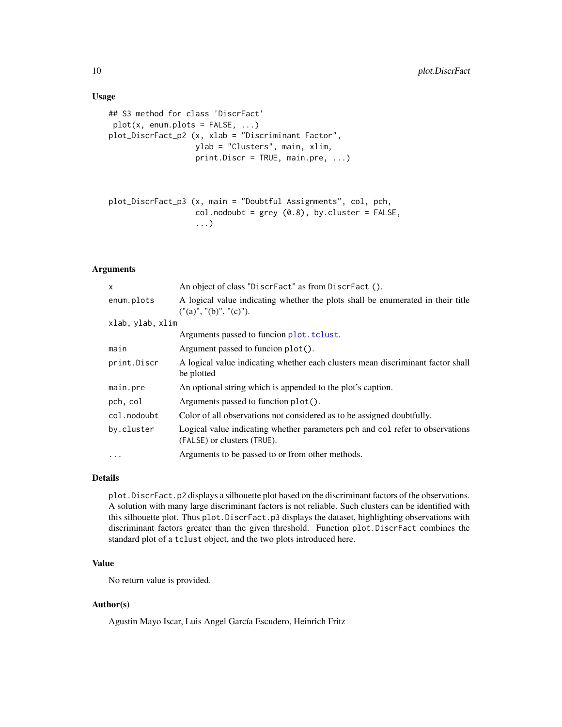#### Usage

```
## S3 method for class 'DiscrFact'
plot(x, enum.plots = FALSE, ...)plot_DiscrFact_p2 (x, xlab = "Discriminant Factor",
                  ylab = "Clusters", main, xlim,
                  print.Discr = TRUE, main.pre, ...)
```

```
plot_DiscrFact_p3 (x, main = "Doubtful Assignments", col, pch,
                  col.nodoubt = grey(0.8), by. cluster = FALSE,...)
```
## Arguments

| X                    | An object of class "DiscrFact" as from DiscrFact ().                                                         |  |  |
|----------------------|--------------------------------------------------------------------------------------------------------------|--|--|
| enum.plots           | A logical value indicating whether the plots shall be enumerated in their title<br>("(a)", "(b)", "(c)",     |  |  |
| xlab, ylab, xlim     |                                                                                                              |  |  |
|                      | Arguments passed to funcion plot. tclust.                                                                    |  |  |
| main                 | Argument passed to funcion plot().                                                                           |  |  |
| print.Discr          | A logical value indicating whether each clusters mean discriminant factor shall<br>be plotted                |  |  |
| main.pre             | An optional string which is appended to the plot's caption.                                                  |  |  |
| pch, col             | Arguments passed to function plot().                                                                         |  |  |
| col.nodoubt          | Color of all observations not considered as to be assigned doubtfully.                                       |  |  |
| by.cluster           | Logical value indicating whether parameters pch and col refer to observations<br>(FALSE) or clusters (TRUE). |  |  |
| $\ddot{\phantom{0}}$ | Arguments to be passed to or from other methods.                                                             |  |  |

#### Details

plot.DiscrFact.p2 displays a silhouette plot based on the discriminant factors of the observations. A solution with many large discriminant factors is not reliable. Such clusters can be identified with this silhouette plot. Thus plot.DiscrFact.p3 displays the dataset, highlighting observations with discriminant factors greater than the given threshold. Function plot.DiscrFact combines the standard plot of a tclust object, and the two plots introduced here.

## Value

No return value is provided.

## Author(s)

Agustin Mayo Iscar, Luis Angel García Escudero, Heinrich Fritz

<span id="page-9-0"></span>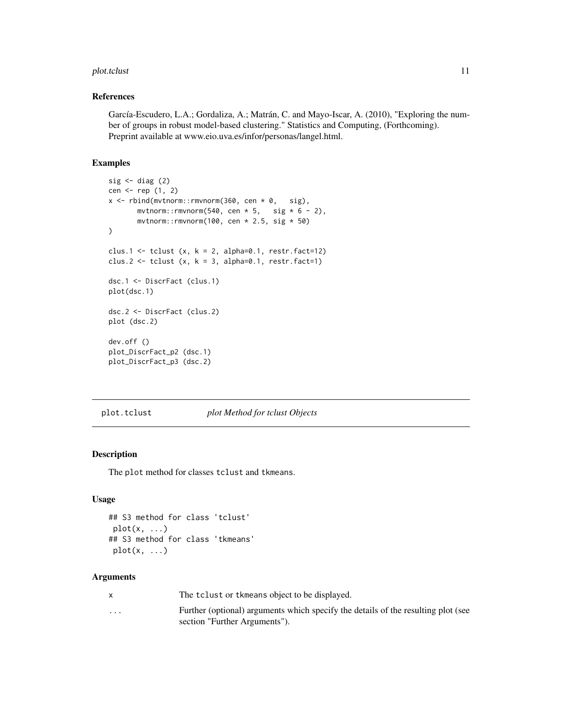#### <span id="page-10-0"></span>plot.tclust 11

#### References

García-Escudero, L.A.; Gordaliza, A.; Matrán, C. and Mayo-Iscar, A. (2010), "Exploring the number of groups in robust model-based clustering." Statistics and Computing, (Forthcoming). Preprint available at www.eio.uva.es/infor/personas/langel.html.

## Examples

```
sig \leftarrow diag(2)cen <- rep (1, 2)
x \le rbind(mvtnorm::rmvnorm(360, cen * 0, sig),
       mvtnorm::rmvnorm(540, cen * 5, sig * 6 - 2),
       mvtnorm::rmvnorm(100, cen * 2.5, sig * 50)
)
clus.1 <- tclust (x, k = 2, alpha=0.1, restr.fact=12)clus.2 \leftarrow tclust (x, k = 3, alpha=0.1, restr.fact=1)
dsc.1 <- DiscrFact (clus.1)
plot(dsc.1)
dsc.2 <- DiscrFact (clus.2)
plot (dsc.2)
dev.off ()
plot_DiscrFact_p2 (dsc.1)
plot_DiscrFact_p3 (dsc.2)
```
<span id="page-10-1"></span>

plot.tclust *plot Method for tclust Objects*

## <span id="page-10-2"></span>Description

The plot method for classes tclust and tkmeans.

#### Usage

```
## S3 method for class 'tclust'
plot(x, \ldots)## S3 method for class 'tkmeans'
plot(x, \ldots)
```
#### **Arguments**

x The tclust or tkmeans object to be displayed.

... Further (optional) arguments which specify the details of the resulting plot (see section "Further Arguments").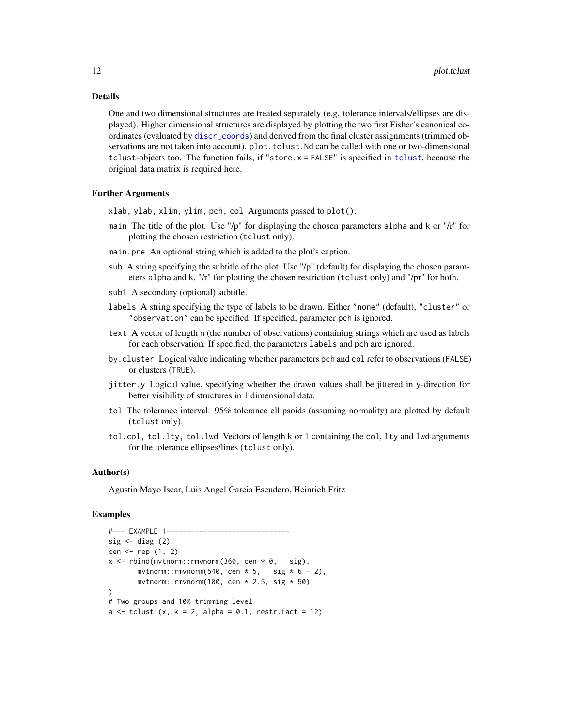#### <span id="page-11-0"></span>Details

One and two dimensional structures are treated separately (e.g. tolerance intervals/ellipses are displayed). Higher dimensional structures are displayed by plotting the two first Fisher's canonical coordinates (evaluated by [discr\\_coords](#page-5-1)) and derived from the final cluster assignments (trimmed observations are not taken into account). plot. tclust. Nd can be called with one or two-dimensional tclust-objects too. The function fails, if "store.x = FALSE" is specified in [tclust](#page-14-1), because the original data matrix is required here.

#### Further Arguments

- xlab, ylab, xlim, ylim, pch, col Arguments passed to plot().
- main The title of the plot. Use "/p" for displaying the chosen parameters alpha and k or "/r" for plotting the chosen restriction (tclust only).
- main.pre An optional string which is added to the plot's caption.
- sub A string specifying the subtitle of the plot. Use "/p" (default) for displaying the chosen parameters alpha and k, "/r" for plotting the chosen restriction (tclust only) and "/pr" for both.
- sub1 A secondary (optional) subtitle.
- labels A string specifying the type of labels to be drawn. Either "none" (default), "cluster" or "observation" can be specified. If specified, parameter pch is ignored.
- text A vector of length n (the number of observations) containing strings which are used as labels for each observation. If specified, the parameters labels and pch are ignored.
- by.cluster Logical value indicating whether parameters pch and col refer to observations (FALSE) or clusters (TRUE).
- jitter.y Logical value, specifying whether the drawn values shall be jittered in y-direction for better visibility of structures in 1 dimensional data.
- tol The tolerance interval. 95% tolerance ellipsoids (assuming normality) are plotted by default (tclust only).
- tol.col, tol.lty, tol.lwd Vectors of length k or 1 containing the col, lty and lwd arguments for the tolerance ellipses/lines (tclust only).

#### Author(s)

Agustin Mayo Iscar, Luis Angel Garcia Escudero, Heinrich Fritz

```
#--- EXAMPLE 1------------------------------
sig \leftarrow diag(2)cen \leq rep (1, 2)x \le - rbind(mvtnorm::rmvnorm(360, cen * 0, sig),
       mvtnorm::rmvnorm(540, cen * 5, sig * 6 - 2),
       mvtnorm::rmvnorm(100, cen * 2.5, sig * 50))
# Two groups and 10% trimming level
a \leftarrow tclust (x, k = 2, alpha = 0.1, restr.fact = 12)
```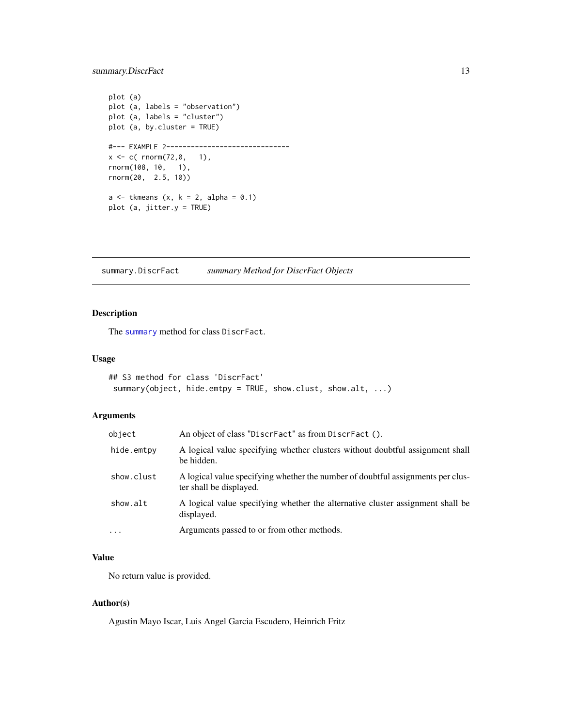```
plot (a)
plot (a, labels = "observation")
plot (a, labels = "cluster")
plot (a, by.cluster = TRUE)
#--- EXAMPLE 2------------------------------
x \leq -c (rnorm(72,0, 1),
rnorm(108, 10, 1),
rnorm(20, 2.5, 10))
a \leftarrow tkmeans (x, k = 2, alpha = 0.1)plot (a, jitter.y = TRUE)
```
summary.DiscrFact *summary Method for DiscrFact Objects*

## Description

The [summary](#page-0-0) method for class DiscrFact.

#### Usage

```
## S3 method for class 'DiscrFact'
summary(object, hide.emtpy = TRUE, show.clust, show.alt, ...)
```
## Arguments

| object     | An object of class "DiscrFact" as from DiscrFact ().                                                       |
|------------|------------------------------------------------------------------------------------------------------------|
| hide.emtpy | A logical value specifying whether clusters without doubtful assignment shall<br>be hidden.                |
| show.clust | A logical value specifying whether the number of doubtful assignments per clus-<br>ter shall be displayed. |
| show.alt   | A logical value specifying whether the alternative cluster assignment shall be<br>displayed.               |
| $\cdots$   | Arguments passed to or from other methods.                                                                 |

#### Value

No return value is provided.

#### Author(s)

Agustin Mayo Iscar, Luis Angel Garcia Escudero, Heinrich Fritz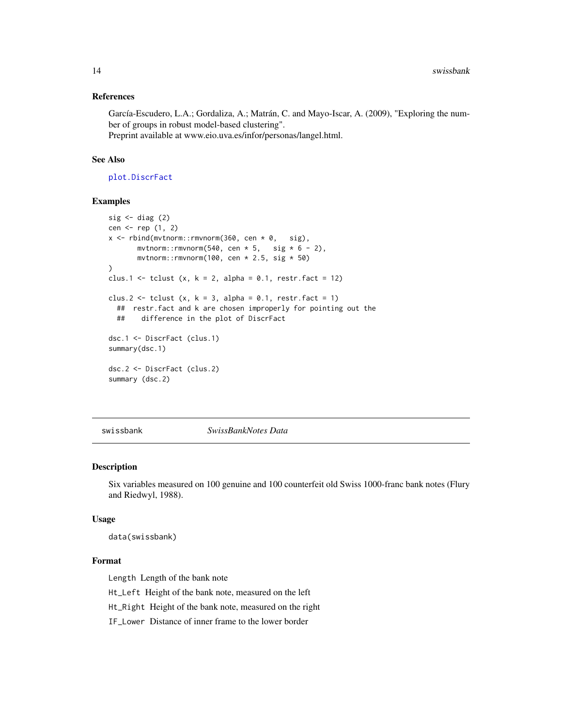#### <span id="page-13-0"></span>References

García-Escudero, L.A.; Gordaliza, A.; Matrán, C. and Mayo-Iscar, A. (2009), "Exploring the number of groups in robust model-based clustering". Preprint available at www.eio.uva.es/infor/personas/langel.html.

#### See Also

[plot.DiscrFact](#page-8-1)

## Examples

```
sig \leftarrow diag(2)cen <- rep (1, 2)
x \le rbind(mvtnorm::rmvnorm(360, cen * 0, sig),
       mvtnorm::rmvnorm(540, cen * 5, sig * 6 - 2),
       mvtnorm::rmvnorm(100, cen * 2.5, sig * 50))
clus.1 <- tclust (x, k = 2, alpha = 0.1, restr.fact = 12)clus.2 \leftarrow tclust (x, k = 3, alpha = 0.1, restr.fact = 1)
  ## restr.fact and k are chosen improperly for pointing out the
  ## difference in the plot of DiscrFact
dsc.1 <- DiscrFact (clus.1)
summary(dsc.1)
dsc.2 <- DiscrFact (clus.2)
summary (dsc.2)
```
swissbank *SwissBankNotes Data*

#### Description

Six variables measured on 100 genuine and 100 counterfeit old Swiss 1000-franc bank notes (Flury and Riedwyl, 1988).

#### Usage

data(swissbank)

## Format

Length Length of the bank note

Ht\_Left Height of the bank note, measured on the left

Ht\_Right Height of the bank note, measured on the right

IF\_Lower Distance of inner frame to the lower border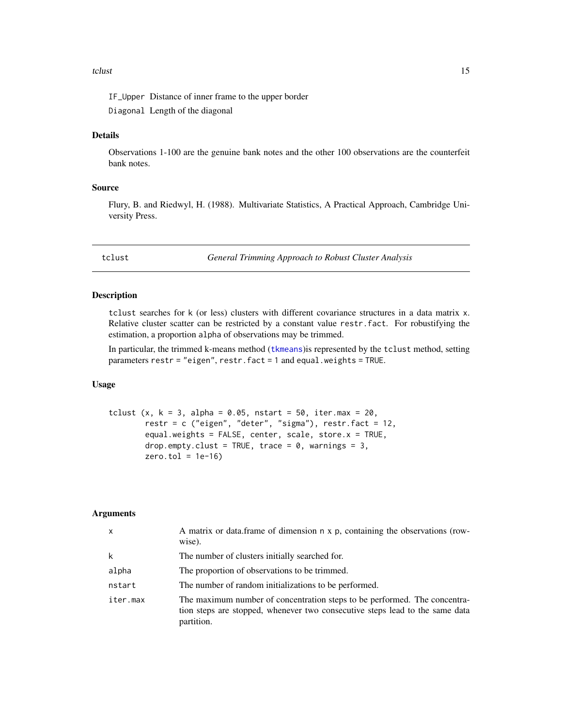#### <span id="page-14-0"></span>tclust to the contract of the contract of the contract of the contract of the contract of the contract of the contract of the contract of the contract of the contract of the contract of the contract of the contract of the

IF\_Upper Distance of inner frame to the upper border Diagonal Length of the diagonal

## Details

Observations 1-100 are the genuine bank notes and the other 100 observations are the counterfeit bank notes.

## Source

Flury, B. and Riedwyl, H. (1988). Multivariate Statistics, A Practical Approach, Cambridge University Press.

<span id="page-14-1"></span>tclust *General Trimming Approach to Robust Cluster Analysis*

#### Description

tclust searches for k (or less) clusters with different covariance structures in a data matrix x. Relative cluster scatter can be restricted by a constant value restr.fact. For robustifying the estimation, a proportion alpha of observations may be trimmed.

In particular, the trimmed k-means method ([tkmeans](#page-18-1))is represented by the tclust method, setting parameters restr = "eigen", restr.fact = 1 and equal.weights = TRUE.

#### Usage

```
tclust (x, k = 3, alpha = 0.05, nstart = 50, iter.max = 20,restr = c ("eigen", "deter", "sigma"), restr.fact = 12,
       equal.weights = FALSE, center, scale, store.x = TRUE,
       drop.empty.clust = TRUE, trace = 0, warnings = 3,
       zero.tol = 1e-16
```
#### Arguments

| $\mathsf{x}$ | A matrix or data.frame of dimension n x p, containing the observations (row-<br>wise).                                                                                  |
|--------------|-------------------------------------------------------------------------------------------------------------------------------------------------------------------------|
| k            | The number of clusters initially searched for.                                                                                                                          |
| alpha        | The proportion of observations to be trimmed.                                                                                                                           |
| nstart       | The number of random initializations to be performed.                                                                                                                   |
| iter.max     | The maximum number of concentration steps to be performed. The concentra-<br>tion steps are stopped, whenever two consecutive steps lead to the same data<br>partition. |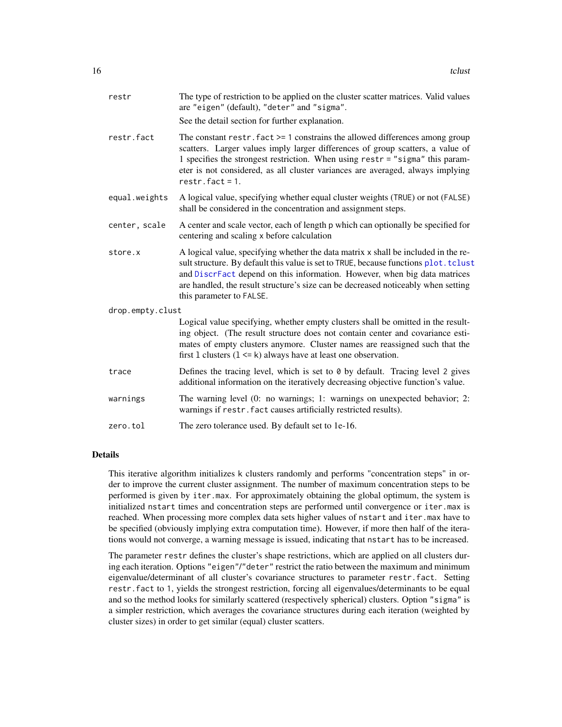<span id="page-15-0"></span>

| restr            | The type of restriction to be applied on the cluster scatter matrices. Valid values<br>are "eigen" (default), "deter" and "sigma".<br>See the detail section for further explanation.                                                                                                                                                                                    |
|------------------|--------------------------------------------------------------------------------------------------------------------------------------------------------------------------------------------------------------------------------------------------------------------------------------------------------------------------------------------------------------------------|
| restr.fact       | The constant restr. $fact$ >= 1 constrains the allowed differences among group<br>scatters. Larger values imply larger differences of group scatters, a value of<br>1 specifies the strongest restriction. When using restr = "sigma" this param-<br>eter is not considered, as all cluster variances are averaged, always implying<br>$restr.fact = 1.$                 |
| equal.weights    | A logical value, specifying whether equal cluster weights (TRUE) or not (FALSE)<br>shall be considered in the concentration and assignment steps.                                                                                                                                                                                                                        |
| center, scale    | A center and scale vector, each of length p which can optionally be specified for<br>centering and scaling x before calculation                                                                                                                                                                                                                                          |
| store.x          | A logical value, specifying whether the data matrix x shall be included in the re-<br>sult structure. By default this value is set to TRUE, because functions plot. tclust<br>and DiscrFact depend on this information. However, when big data matrices<br>are handled, the result structure's size can be decreased noticeably when setting<br>this parameter to FALSE. |
| drop.empty.clust |                                                                                                                                                                                                                                                                                                                                                                          |
|                  | Logical value specifying, whether empty clusters shall be omitted in the result-<br>ing object. (The result structure does not contain center and covariance esti-<br>mates of empty clusters anymore. Cluster names are reassigned such that the<br>first 1 clusters $(1 \le k)$ always have at least one observation.                                                  |
| trace            | Defines the tracing level, which is set to 0 by default. Tracing level 2 gives<br>additional information on the iteratively decreasing objective function's value.                                                                                                                                                                                                       |
| warnings         | The warning level (0: no warnings; 1: warnings on unexpected behavior; 2:<br>warnings if restr. fact causes artificially restricted results).                                                                                                                                                                                                                            |
| zero.tol         | The zero tolerance used. By default set to 1e-16.                                                                                                                                                                                                                                                                                                                        |

## Details

This iterative algorithm initializes k clusters randomly and performs "concentration steps" in order to improve the current cluster assignment. The number of maximum concentration steps to be performed is given by iter.max. For approximately obtaining the global optimum, the system is initialized nstart times and concentration steps are performed until convergence or iter.max is reached. When processing more complex data sets higher values of nstart and iter.max have to be specified (obviously implying extra computation time). However, if more then half of the iterations would not converge, a warning message is issued, indicating that nstart has to be increased.

The parameter restr defines the cluster's shape restrictions, which are applied on all clusters during each iteration. Options "eigen"/"deter" restrict the ratio between the maximum and minimum eigenvalue/determinant of all cluster's covariance structures to parameter restr.fact. Setting restr.fact to 1, yields the strongest restriction, forcing all eigenvalues/determinants to be equal and so the method looks for similarly scattered (respectively spherical) clusters. Option "sigma" is a simpler restriction, which averages the covariance structures during each iteration (weighted by cluster sizes) in order to get similar (equal) cluster scatters.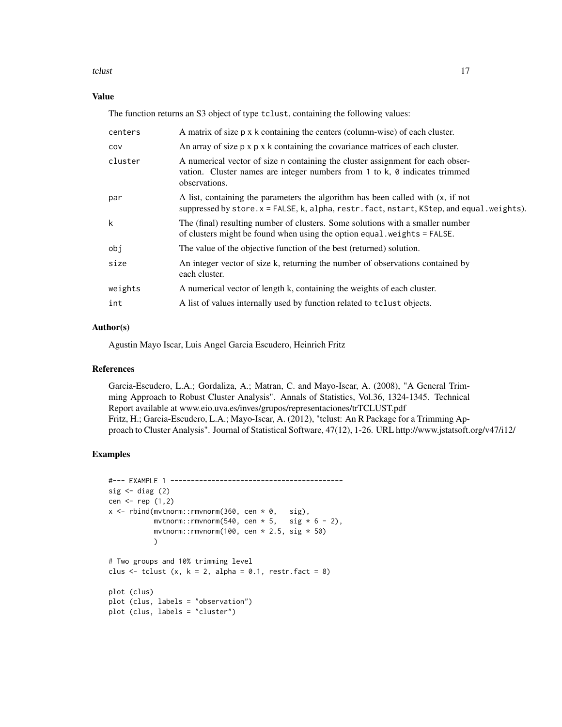#### tclust to the contract of the contract of the contract of the contract of the contract of the contract of the contract of the contract of the contract of the contract of the contract of the contract of the contract of the

## Value

The function returns an S3 object of type tclust, containing the following values:

| centers | A matrix of size $p \times k$ containing the centers (column-wise) of each cluster.                                                                                                     |
|---------|-----------------------------------------------------------------------------------------------------------------------------------------------------------------------------------------|
| COV     | An array of size $p \times p \times k$ containing the covariance matrices of each cluster.                                                                                              |
| cluster | A numerical vector of size n containing the cluster assignment for each obser-<br>vation. Cluster names are integer numbers from 1 to $k$ , $\theta$ indicates trimmed<br>observations. |
| par     | A list, containing the parameters the algorithm has been called with (x, if not<br>suppressed by store. $x =$ FALSE, k, alpha, restr. fact, nstart, KStep, and equal.weights).          |
| k       | The (final) resulting number of clusters. Some solutions with a smaller number<br>of clusters might be found when using the option equal weights = FALSE.                               |
| obj     | The value of the objective function of the best (returned) solution.                                                                                                                    |
| size    | An integer vector of size k, returning the number of observations contained by<br>each cluster.                                                                                         |
| weights | A numerical vector of length k, containing the weights of each cluster.                                                                                                                 |
| int     | A list of values internally used by function related to to lust objects.                                                                                                                |

## Author(s)

Agustin Mayo Iscar, Luis Angel Garcia Escudero, Heinrich Fritz

## References

Garcia-Escudero, L.A.; Gordaliza, A.; Matran, C. and Mayo-Iscar, A. (2008), "A General Trimming Approach to Robust Cluster Analysis". Annals of Statistics, Vol.36, 1324-1345. Technical Report available at www.eio.uva.es/inves/grupos/representaciones/trTCLUST.pdf Fritz, H.; Garcia-Escudero, L.A.; Mayo-Iscar, A. (2012), "tclust: An R Package for a Trimming Approach to Cluster Analysis". Journal of Statistical Software, 47(12), 1-26. URL http://www.jstatsoft.org/v47/i12/

```
#--- EXAMPLE 1 ------------------------------------------
sig \leftarrow diag(2)cen \leq rep (1,2)x \le rbind(mvtnorm::rmvnorm(360, cen * 0, sig),
          mvtnorm::rmvnorm(540, cen * 5, sig * 6 - 2),
           mvtnorm::rmvnorm(100, cen * 2.5, sig * 50)
           )
# Two groups and 10% trimming level
clus \le tclust (x, k = 2, alpha = 0.1, restr.fact = 8)plot (clus)
plot (clus, labels = "observation")
plot (clus, labels = "cluster")
```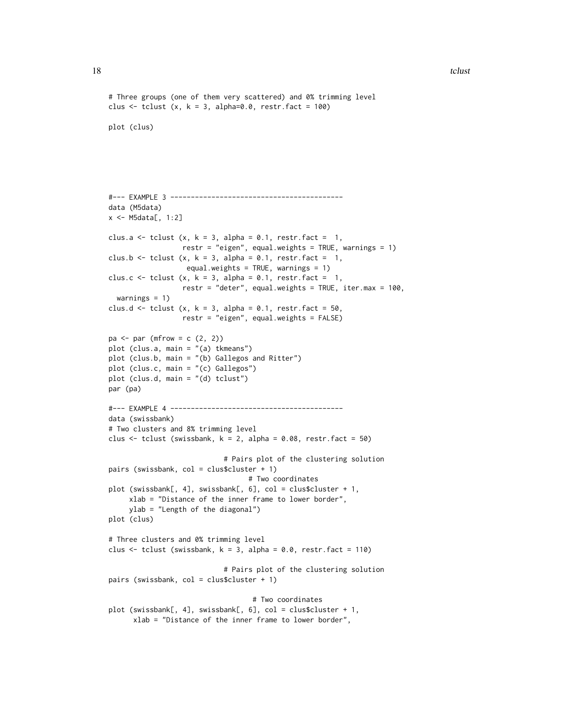#### 18 tclust to the contract of the contract of the contract of the contract of the contract of the contract of the contract of the contract of the contract of the contract of the contract of the contract of the contract of t

```
# Three groups (one of them very scattered) and 0% trimming level
clus \le tclust (x, k = 3, alpha=0.0, restr.fact = 100)plot (clus)
#--- EXAMPLE 3 ------------------------------------------
data (M5data)
x <- M5data[, 1:2]
clus.a \le tclust (x, k = 3, alpha = 0.1, restr.fact = 1,
                  restr = "eigen", equal.weights = TRUE, warnings = 1)
clus.b \le tclust (x, k = 3, alpha = 0.1, restr.fact = 1,
                   equal.weights = TRUE, warnings = 1)
clus.c <- tclust (x, k = 3, alpha = 0.1, restr.fact = 1,restr = "deter", equal.weights = TRUE, iter.max = 100,
  warnings = 1)
clus.d \le tclust (x, k = 3, alpha = 0.1, restr.fact = 50,
                  restr = "eigen", equal.weights = FALSE)
pa \leftarrow par (mfrow = c (2, 2))plot (clus.a, main = "(a) tkmeans")
plot (clus.b, main = "(b) Gallegos and Ritter")
plot (clus.c, main = "(c) Gallegos")
plot (clus.d, main = "(d) tclust")
par (pa)
#--- EXAMPLE 4 ------------------------------------------
data (swissbank)
# Two clusters and 8% trimming level
clus \le tclust (swissbank, k = 2, alpha = 0.08, restr.fact = 50)
                            # Pairs plot of the clustering solution
pairs (swissbank, col = clus$cluster + 1)
                                  # Two coordinates
plot (swissbank[, 4], swissbank[, 6], col = clus$cluster + 1,
     xlab = "Distance of the inner frame to lower border",
     ylab = "Length of the diagonal")
plot (clus)
# Three clusters and 0% trimming level
clus \le tclust (swissbank, k = 3, alpha = 0.0, restr.fact = 110)
                            # Pairs plot of the clustering solution
pairs (swissbank, col = clus$cluster + 1)
                                   # Two coordinates
plot (swissbank[, 4], swissbank[, 6], col = clus$cluster + 1,
      xlab = "Distance of the inner frame to lower border",
```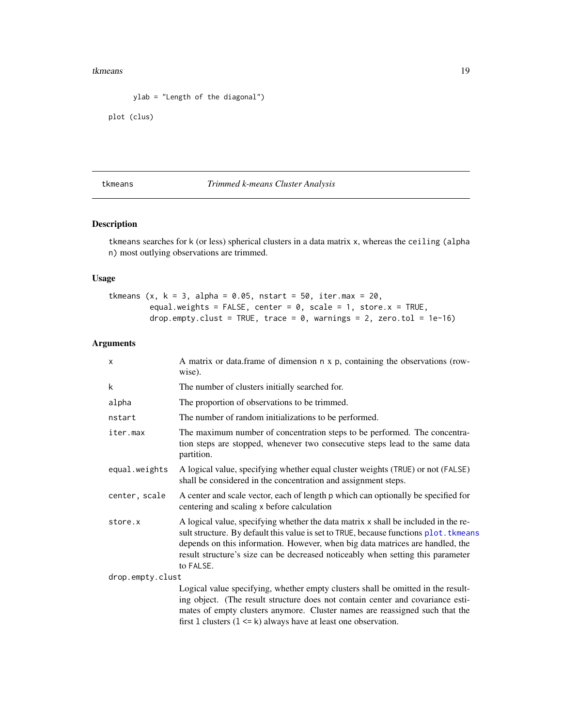#### <span id="page-18-0"></span>tkmeans and the state of the state of the state of the state of the state of the state of the state of the state of the state of the state of the state of the state of the state of the state of the state of the state of th

```
ylab = "Length of the diagonal")
```

```
plot (clus)
```
## <span id="page-18-1"></span>tkmeans *Trimmed k-means Cluster Analysis*

## Description

tkmeans searches for k (or less) spherical clusters in a data matrix x, whereas the ceiling (alpha n) most outlying observations are trimmed.

## Usage

```
tkmeans (x, k = 3, alpha = 0.05, nstart = 50, iter.max = 20,equal.weights = FALSE, center = 0, scale = 1, store.x = TRUE,
        drop.empty.clust = TRUE, trace = 0, warnings = 2, zero.tol = 1e-16)
```
## Arguments

| X                | A matrix or data.frame of dimension n x p, containing the observations (row-<br>wise).                                                                                                                                                                                                                                                                       |
|------------------|--------------------------------------------------------------------------------------------------------------------------------------------------------------------------------------------------------------------------------------------------------------------------------------------------------------------------------------------------------------|
| k                | The number of clusters initially searched for.                                                                                                                                                                                                                                                                                                               |
| alpha            | The proportion of observations to be trimmed.                                                                                                                                                                                                                                                                                                                |
| nstart           | The number of random initializations to be performed.                                                                                                                                                                                                                                                                                                        |
| iter.max         | The maximum number of concentration steps to be performed. The concentra-<br>tion steps are stopped, whenever two consecutive steps lead to the same data<br>partition.                                                                                                                                                                                      |
| equal.weights    | A logical value, specifying whether equal cluster weights (TRUE) or not (FALSE)<br>shall be considered in the concentration and assignment steps.                                                                                                                                                                                                            |
| center, scale    | A center and scale vector, each of length p which can optionally be specified for<br>centering and scaling x before calculation                                                                                                                                                                                                                              |
| store.x          | A logical value, specifying whether the data matrix x shall be included in the re-<br>sult structure. By default this value is set to TRUE, because functions plot. tkmeans<br>depends on this information. However, when big data matrices are handled, the<br>result structure's size can be decreased noticeably when setting this parameter<br>to FALSE. |
| drop.empty.clust |                                                                                                                                                                                                                                                                                                                                                              |
|                  | Logical value specifying, whether empty clusters shall be omitted in the result-<br>ing object. (The result structure does not contain center and covariance esti-<br>mates of empty clusters anymore. Cluster names are reassigned such that the<br>first 1 clusters $(1 \le k)$ always have at least one observation.                                      |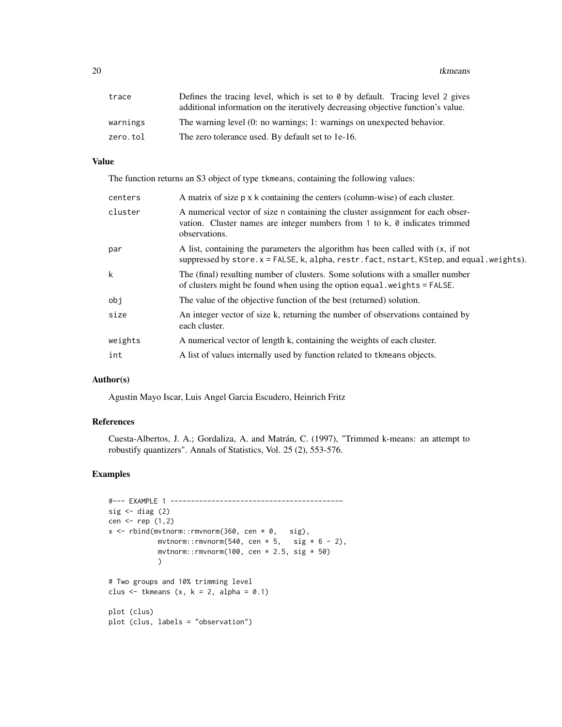20 tkmeans

| trace    | Defines the tracing level, which is set to $\theta$ by default. Tracing level 2 gives<br>additional information on the iteratively decreasing objective function's value. |
|----------|---------------------------------------------------------------------------------------------------------------------------------------------------------------------------|
| warnings | The warning level (0: no warnings; 1: warnings on unexpected behavior.                                                                                                    |
| zero.tol | The zero tolerance used. By default set to 1e-16.                                                                                                                         |

## Value

The function returns an S3 object of type tkmeans, containing the following values:

| centers | A matrix of size p x k containing the centers (column-wise) of each cluster.                                                                                                           |
|---------|----------------------------------------------------------------------------------------------------------------------------------------------------------------------------------------|
| cluster | A numerical vector of size n containing the cluster assignment for each obser-<br>vation. Cluster names are integer numbers from $1$ to k, $\theta$ indicates trimmed<br>observations. |
| par     | A list, containing the parameters the algorithm has been called with (x, if not<br>suppressed by store.x = FALSE, k, alpha, restr.fact, nstart, KStep, and equal.weights).             |
| k       | The (final) resulting number of clusters. Some solutions with a smaller number<br>of clusters might be found when using the option equal weights = FALSE.                              |
| obj     | The value of the objective function of the best (returned) solution.                                                                                                                   |
| size    | An integer vector of size k, returning the number of observations contained by<br>each cluster.                                                                                        |
| weights | A numerical vector of length k, containing the weights of each cluster.                                                                                                                |
| int     | A list of values internally used by function related to tkmeans objects.                                                                                                               |

#### Author(s)

Agustin Mayo Iscar, Luis Angel Garcia Escudero, Heinrich Fritz

#### References

Cuesta-Albertos, J. A.; Gordaliza, A. and Matrán, C. (1997), "Trimmed k-means: an attempt to robustify quantizers". Annals of Statistics, Vol. 25 (2), 553-576.

```
#--- EXAMPLE 1 ------------------------------------------
sig \leftarrow diag(2)cen <- rep (1,2)
x \le - rbind(mvtnorm::rmvnorm(360, cen * 0, sig),
            mvtnorm::rmvnorm(540, cen * 5, sig * 6 - 2),mvtnorm::rmvnorm(100, cen * 2.5, sig * 50))
# Two groups and 10% trimming level
clus \leq tkmeans (x, k = 2, alpha = 0.1)plot (clus)
plot (clus, labels = "observation")
```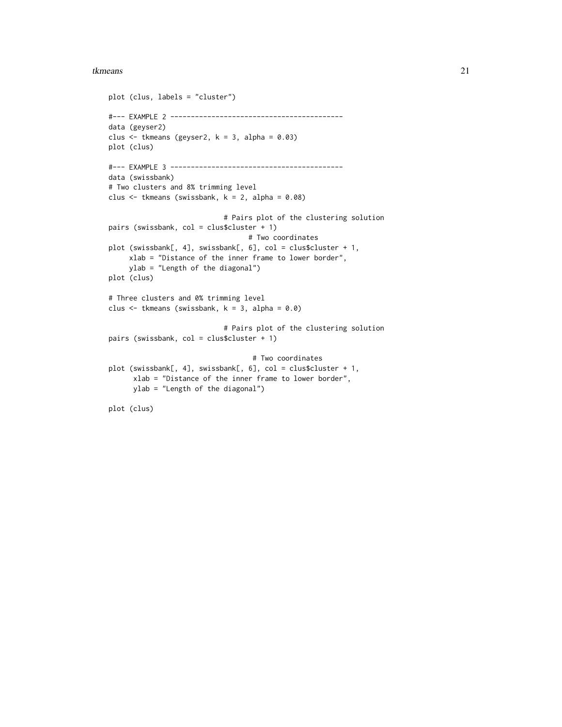#### tkmeans 21

```
plot (clus, labels = "cluster")
#--- EXAMPLE 2 ------------------------------------------
data (geyser2)
clus \leq tkmeans (geyser2, k = 3, alpha = 0.03)
plot (clus)
#--- EXAMPLE 3 ------------------------------------------
data (swissbank)
# Two clusters and 8% trimming level
clus \leq tkmeans (swissbank, k = 2, alpha = 0.08)
                            # Pairs plot of the clustering solution
pairs (swissbank, col = clus$cluster + 1)
                                  # Two coordinates
plot (swissbank[, 4], swissbank[, 6], col = clus$cluster + 1,
     xlab = "Distance of the inner frame to lower border",
     ylab = "Length of the diagonal")
plot (clus)
# Three clusters and 0% trimming level
clus \leq tkmeans (swissbank, k = 3, alpha = 0.0)
                            # Pairs plot of the clustering solution
pairs (swissbank, col = clus$cluster + 1)
                                   # Two coordinates
plot (swissbank[, 4], swissbank[, 6], col = clus$cluster + 1,
      xlab = "Distance of the inner frame to lower border",
      ylab = "Length of the diagonal")
plot (clus)
```